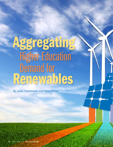# Aggregating Higher Education Demand for Renewables

By Julian Dautremont and Chris O'Brien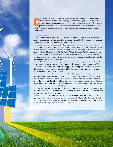ohorts of colleges and universities are aggregating energy loads to achieve economies of scale when sourcing renewable energy. This article highlights the benefits of this agregated approach by examining several completed ohorts of colleges and universities are aggregating energy loads to achieve economies of scale when sourcing renewable energy. This article highlights the benefits of this aggregated approach by examining several completed group purchases as well as some in progress, such as a 100,000-MWh effort in Pennsylvania. It also describes best pracments (PPAs).

#### **INTRODUCTION**

Campuses are increasingly looking to renewable energy as the most financially attractive strategy for achieving dramatic reductions in greenhouse gas (GHG) emissions while reducing long-term energy costs and minimizing energy price risk.

A number of campuses have already taken steps to source renewable energy. In fact, as reported in *Assessing the Higher Education Sector's Use of Renewable Energy*, more than 240 are already using some amount of renewable energy. However, according to *The State of Sustainability in Higher Education 2016: The Life Cycle of Higher Education Facilities*, average annual campus GHG reductions have not been commensurate with many of the carbon-neutrality target dates compiled in the report. Unless campuses take more dramatic actions, they may be at risk of missing GHG reduction goals.

Since 2009, there has been steady growth in renewable energy adoption by institutions of higher education. Many schools purchase "unbundled" renewable energy certificates (RECs). As the costs of solar and wind energy have dropped, many campuses are now sourcing renewable energy via power purchase agreements (PPAs) from onsite solar arrays as well as from offsite, utility-scale solar and wind farms.

Onsite solar is an attractive strategy because it can be highly visible to campus stakeholders and because it is "behind-the-meter," which means it can displace more of the delivered cost of electricity. However, it is constrained by the size of the sites on a campus available to host arrays, therefore typically only providing a small portion of campus electricity usage. Given the approaching carbon neutrality target dates, onsite solar is unlikely to provide the scale needed by many campuses to reach their GHG targets on time.

Offsite wind and solar projects are much larger and are therefore capable of providing up to 100 percent of a campus's electricity usage—achieving dramatically larger GHG reductions and far more significant financial benefits.

Both options can be conducive to a consortium-style approach in which two or more entities aggregate their efforts in order to capture economies of scale. Higher education is particularly well suited to aggregation strategies, as evidenced by the growing number of cohorts emerging to achieve scale through renewable energy buyer groups.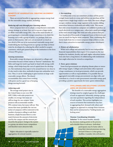#### **BENEFITS OF AGGREGATION: CREATING AN ENERGY COHORT**

There are several benefits to aggregating campus energy load for the renewable energy market, including:

#### *Reducing soft costs through peer-learning cohorts*

Most campuses have yet to adopt a comprehensive renewable energy strategy or, at least, have yet to execute a large onsite or offsite renewable energy PPA. One of the main benefits of participating in a renewable energy consortium is to climb the learning curve with a group of peers—or, perhaps, lead your peers on that journey. *Soft costs can account for as much as two-thirds of the cost of an institutional renewable energy deal.* Undertaking the learning process as a group can help cut those costs for developers by reducing the effort needed to acquire customers, which gets passed along to the institution in the form of lower PPA prices.

#### *Gaining momentum*

Renewable energy developers are attracted to colleges and universities because of their status as "forever" institutions. Stability and longevity tend to go hand-in-hand with strong credit ratings, which helps keep the cost of capital down for developers. But institutions that expect to be around forever (or close to it) also tend to take slow, methodical steps into unfamiliar territory. Thus, it can be challenging to gain traction on large-scale renewable energy efforts. The shared accountability that comes from working with peers can be a good way of keeping things moving forward.

#### *Achieving scale*

The average wind-project size in the United States is now over 200 MW. Utility-scale solar projects are smaller, on average, but many are still too large for one campus. Some projects will accommodate smaller PPA contract sizes, but many will not. This means that many (probably the vast majority) of campuses will be restricted in the number of projects willing to seek their business, simply because there is a mismatch between the amount of electricity used by the campus and the amount produced by the project. Going to the market as a group can attract more competition and therefore more attractive bids.

Higher education is especially suited to aggregation, for several reasons:

#### *1. Size matching*

A rooftop solar array can sometimes produce all the power a single home needs in a year, and utilities can purchase all the output from a single large wind or solar farm. But most colleges occupy a midsize energy-usage segment in the market, falling somewhere between residential and utility-scale. This means that solar arrays located on campuses are unlikely to produce as much electricity as a campus uses—often just a small percentage of the total annual usage. But wind and solar projects that produce hundreds of thousands of megawatt hours of electricity per year are much too big for most campuses. Thus, combining electricity loads from two or more campuses helps achieve a scale that is more attractive to renewable energy project developers.

#### *2. History of collaboration*

While each college and university has its own independent financial responsibilities that require it to compete in the marketplace for students, faculty, and staff, higher education institutions also have a long history of collaborating with institutions that might otherwise be viewed as competitors.

#### *3. Town–gown relations*

**START OF BUILDING** 

Some local governments are adopting climate plans or renewable energy targets. Colleges and universities often represent a large constituency to local governments, which can provide opportunities as well as responsibilities. It is possible that an aggregated renewable energy procurement can align with, and contribute to, a local or state government renewable energy goal, providing a positive opportunity for town*–*gown relationships.

#### **CHALLENGES AND SOLUTIONS: LOCKING ARMS OR HOLDING HANDS?**

The benefits of a renewable energy aggregation strategy must be weighed against the challenges of such an approach. Inherently, joining a group can raise questions regarding the independence of each member. This section highlights two sources of tension that institutions may face in aggregating their demand with others and suggests an approach to manage these tensions that can be summarized as "holding hands, not locking arms."

#### *Tension: Coordinating Schedules*

*Solution:* To the extent feasible, identify key decision-making points in the process and schedule them in advance. Individual

> participants may be better able to keep their internal processes moving forward if there is a clear group deadline. Consider who will need to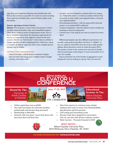sign off on each important milestone and schedule time with them as far in advance as possible. It is easier to cancel a meeting than to get one scheduled with a senior decision-maker at the last minute.

#### *Tension: Agreeing on Project Criteria*

*Solution:* Discuss project criteria early in the process. Criteria can affect financial benefits, risks, and sustainability impacts. Think about criteria in terms of requirements versus "nice-tohaves." Establish clarity about the minimum requirements for success, as compared to what might be a shoot-for-the-stars scenario. Identify any "deal-breaker" criteria that are unlikely to change regardless of other mitigating factors. Otherwise, taking a "consider-all-options" approach until a more complete picture emerges may be helpful.

#### **CRITERIA FOR CONSIDERATION:**

*• Financial benefits*—will the project economics mitigate risk associated with energy-price volatility, improve budget certainty, and reduce costs?

- *• Location*—are you looking for a solution that is on campus (i.e., "behind the meter"), or will you consider solutions that are nearby, in-state, within your regional market, or beyond your regional market?
- *• Environmental attributes*—will you require RECs from the project, or are national RECs sufficient?
- *• Academic integration*—does the solution need to include any teaching or research components?
- *• Contract term*—how long do you want to contract for renewables?

Different participants may have different requirements. For example, some projects may allow one buyer, or "offtaker" as they are called, to retain RECs from the project, while another offtaker allows the project owner to retain the project RECs. The number of years in the contract term may also be flexible, with one participant contracting for 12 years and another for 15 years, for example.

Keep in mind that one of the benefits of aggregation is minimizing soft costs by working as a group. Thus, the more the

### **22nd ANNUAL ELEVATOR U CONFERENCE**

University of North Carolina at Charlotte







Hilton Charlotte University Place **Educational Sessions At The:**

- Online registration now available
- The trade association for university facilities professionals and elevator shop personnel
- Membership is affordable
- Network with your peers. Learn from those who have been there and done that.



- Hear from experts on common issues and get solutions that work on issues from Maintainability, Specifications and Procurement
- Golf outing and networking events
- Elevator trade show designed for universities One-on-one time with elevator industry vendors
- Silent Auction Proceeds Donated to EESF

#### **HOST HOTEL:**

Hilton Charlotte University Place 8629 JM Keynes Drive Charlotte, NC 28262

**FOR MORE INFORMATION VISIT WWW.ELEVATORU.ORG**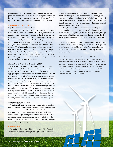group agrees on similar requirements, the more efficient the process is likely to be. But, in the end, if participants are holding hands rather than locking arms, then each will have the flexibility to make independent decisions about many of the criteria.

#### **AGGREGATE EXAMPLES**

#### *Capital Partners Solar Project, 2016*

American University (AU) and George Washington University (GWU) in the District of Columbia, banded together to seek renewable sources for at least 50 percent of the electricity used by each campus. The GWU Hospital (a separate buying entity from the university itself) also joined the effort. The group worked with CustomerFirst Renewables (CFR) to pioneer a demandside aggregation procurement process to competitively solicit and sign PPAs from a utility-scale renewable energy project. In the end, the three members (AU, GWU, and the GWU Hospital) sourced 53 MW of solar from one developer under similar terms. The project has been operational since early 2016 and has provided an opportunity to optimize GW's energy procurement strategy, leading to strong cost savings.

#### *Massachusetts Institute of Technology, 2017*

The Massachusetts Institute of Technology (MIT), Boston Medical Center (BMC), and Post Office Square procured and contracted electricity from a 60-MW solar project. By aggregating the three organizations' demand, each could benefit from the economies of scale inherent in contracting for a larger renewable project, while working as a group ensured that any issues arising during the engagement were problem-solved together, providing an additional reassurance mechanism for a new and unfamiliar business decision and sustaining momentum throughout the engagement. The result was the largest demandside aggregation across multiple industries in the United States at that time. The project is currently producing energy in line with initial estimates and providing strong environmental and risk mitigation benefits to MIT, BMC, and Post Office Square.

#### *Emerging Aggregation, 2019*

A leading university has organized a group of three (possibly four at the time of publication) colleges and universities in Pennsylvania to seek at least 100,000 MWh of electricity from renewable sources. The cohort is working to align their stakeholders around common goals and project criteria, and expects to have gone to the market seeking renewable energy solutions by the time this article is in print. This group has already helped inspire additional emerging aggregations in Pennsylvania.

#### **CONCLUSIONS**

According to data reported in *Assessing the Higher Education Sector's Use of Renewable Energy*, the higher education sector

is adopting renewable energy at a steady growth rate. Indeed, hundreds of campuses are now buying renewable energy, but most are either buying "unbundled RECs," which incur an added cost, or they are sourcing onsite solar, which is a step in the right direction but lacks the scale needed to make significant financial and environmental impacts.

In short, the renewable energy adoption rate in higher education may be too slow to meet the sector's voluntary GHG reduction goals. Ramping up renewable energy sourcing through large-scale, offsite PPAs may be among the most financially viable ways to meet the goals on time. But large, offsite deals are complex and can be time-consuming.

In this light, renewable energy buying consortia that aggregate campus load and create "learning and doing" cohorts may be the pivotal strategy that enables hundreds of colleges and universities to meet their climate goals under financially attractive conditions.  $\circled{?}$ 

Julian Dautremont is director of programs at the Association for the Advancement of Sustainability in Higher Education (AASHE) and can be reached at *julian@aashe.org*. Chris O'Brien is director, business development, for CustomerFirst Renewables and can be reached at *cobrien@customerfirstrenewables.com*. This article, their first for *Facilities Manager*, was adapted and updated from the 2018 AASHE document, *Aggregating Higher Education Demand for Renewables: A Primer*.